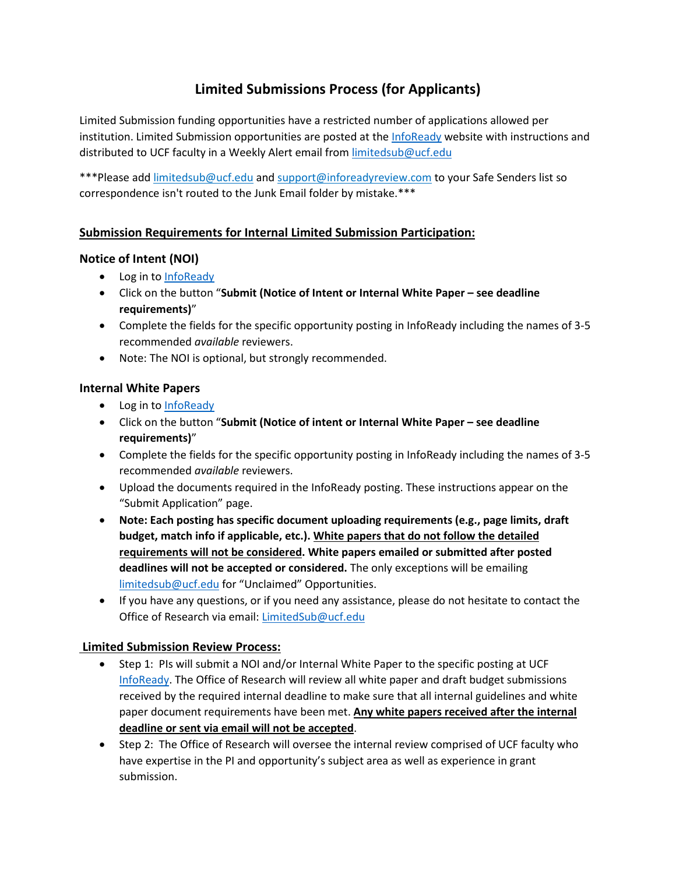# **Limited Submissions Process (for Applicants)**

Limited Submission funding opportunities have a restricted number of applications allowed per institution. Limited Submission opportunities are posted at the [InfoReady](https://ucf.infoready4.com/) website with instructions and distributed to UCF faculty in a Weekly Alert email from [limitedsub@ucf.edu](mailto:limitedsub@ucf.edu)

\*\*\*Please add [limitedsub@ucf.edu](mailto:limitedsub@ucf.edu) and [support@inforeadyreview.com](mailto:support@inforeadyreview.com) to your Safe Senders list so correspondence isn't routed to the Junk Email folder by mistake.\*\*\*

# **Submission Requirements for Internal Limited Submission Participation:**

# **Notice of Intent (NOI)**

- Log in to [InfoReady](https://ucf.infoready4.com/)
- Click on the button "**Submit (Notice of Intent or Internal White Paper – see deadline requirements)**"
- Complete the fields for the specific opportunity posting in InfoReady including the names of 3-5 recommended *available* reviewers.
- Note: The NOI is optional, but strongly recommended.

### **Internal White Papers**

- Log in to [InfoReady](https://ucf.infoready4.com/)
- Click on the button "**Submit (Notice of intent or Internal White Paper – see deadline requirements)**"
- Complete the fields for the specific opportunity posting in InfoReady including the names of 3-5 recommended *available* reviewers.
- Upload the documents required in the InfoReady posting. These instructions appear on the "Submit Application" page.
- **Note: Each posting has specific document uploading requirements (e.g., page limits, draft budget, match info if applicable, etc.). White papers that do not follow the detailed requirements will not be considered. White papers emailed or submitted after posted deadlines will not be accepted or considered.** The only exceptions will be emailing [limitedsub@ucf.edu](mailto:limitedsub@ucf.edu) for "Unclaimed" Opportunities.
- If you have any questions, or if you need any assistance, please do not hesitate to contact the Office of Research via email: [LimitedSub@ucf.edu](mailto:LimitedSub@ucf.edu)

### **Limited Submission Review Process:**

- Step 1: PIs will submit a NOI and/or Internal White Paper to the specific posting at UCF [InfoReady.](https://ucf.infoready4.com/) The Office of Research will review all white paper and draft budget submissions received by the required internal deadline to make sure that all internal guidelines and white paper document requirements have been met. **Any white papers received after the internal deadline or sent via email will not be accepted**.
- Step 2: The Office of Research will oversee the internal review comprised of UCF faculty who have expertise in the PI and opportunity's subject area as well as experience in grant submission.